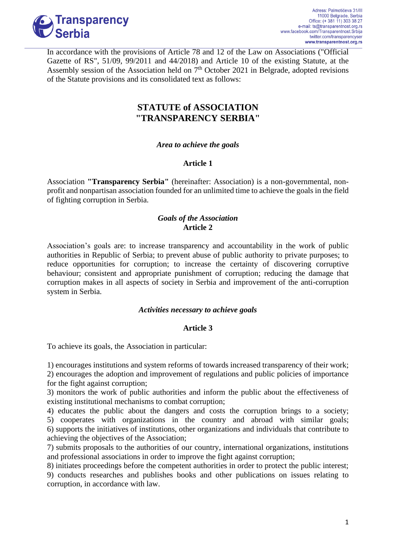

In accordance with the provisions of Article 78 and 12 of the Law on Associations ("Official Gazette of RS", 51/09, 99/2011 and 44/2018) and Article 10 of the existing Statute, at the Assembly session of the Association held on  $7<sup>th</sup>$  October 2021 in Belgrade, adopted revisions of the Statute provisions and its consolidated text as follows:

# **STATUTE of ASSOCIATION "TRANSPARENCY SERBIA"**

### *Area to achieve the goals*

### **Article 1**

Association **"Transparency Serbia"** (hereinafter: Association) is a non-governmental, nonprofit and nonpartisan association founded for an unlimited time to achieve the goals in the field of fighting corruption in Serbia.

### *Goals of the Association* **Article 2**

Association's goals are: to increase transparency and accountability in the work of public authorities in Republic of Serbia; to prevent abuse of public authority to private purposes; to reduce opportunities for corruption; to increase the certainty of discovering corruptive behaviour; consistent and appropriate punishment of corruption; reducing the damage that corruption makes in all aspects of society in Serbia and improvement of the anti-corruption system in Serbia.

### *Activities necessary to achieve goals*

# **Article 3**

To achieve its goals, the Association in particular:

1) encourages institutions and system reforms of towards increased transparency of their work; 2) encourages the adoption and improvement of regulations and public policies of importance for the fight against corruption;

3) monitors the work of public authorities and inform the public about the effectiveness of existing institutional mechanisms to combat corruption;

4) educates the public about the dangers and costs the corruption brings to a society; 5) cooperates with organizations in the country and abroad with similar goals; 6) supports the initiatives of institutions, other organizations and individuals that contribute to achieving the objectives of the Association;

7) submits proposals to the authorities of our country, international organizations, institutions and professional associations in order to improve the fight against corruption;

8) initiates proceedings before the competent authorities in order to protect the public interest; 9) conducts researches and publishes books and other publications on issues relating to corruption, in accordance with law.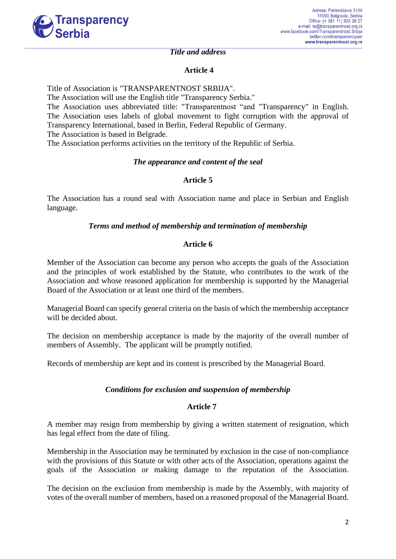

#### *Title and address*

### **Article 4**

Title of Association is "TRANSPARENTNOST SRBIJA".

The Association will use the English title "Transparency Serbia."

The Association uses abbreviated title: "Transparentnost "and "Transparency" in English. The Association uses labels of global movement to fight corruption with the approval of Transparency International, based in Berlin, Federal Republic of Germany. The Association is based in Belgrade.

The Association performs activities on the territory of the Republic of Serbia.

### *The appearance and content of the seal*

### **Article 5**

The Association has a round seal with Association name and place in Serbian and English language.

### *Terms and method of membership and termination of membership*

### **Article 6**

Member of the Association can become any person who accepts the goals of the Association and the principles of work established by the Statute, who contributes to the work of the Association and whose reasoned application for membership is supported by the Managerial Board of the Association or at least one third of the members.

Managerial Board can specify general criteria on the basis of which the membership acceptance will be decided about.

The decision on membership acceptance is made by the majority of the overall number of members of Assembly. The applicant will be promptly notified.

Records of membership are kept and its content is prescribed by the Managerial Board.

### *Conditions for exclusion and suspension of membership*

### **Article 7**

A member may resign from membership by giving a written statement of resignation, which has legal effect from the date of filing.

Membership in the Association may be terminated by exclusion in the case of non-compliance with the provisions of this Statute or with other acts of the Association, operations against the goals of the Association or making damage to the reputation of the Association.

The decision on the exclusion from membership is made by the Assembly, with majority of votes of the overall number of members, based on a reasoned proposal of the Managerial Board.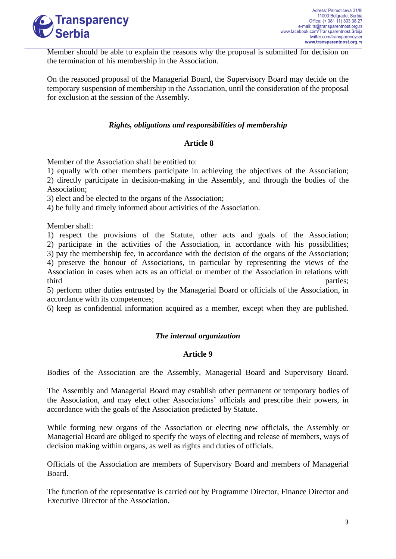

Member should be able to explain the reasons why the proposal is submitted for decision on the termination of his membership in the Association.

On the reasoned proposal of the Managerial Board, the Supervisory Board may decide on the temporary suspension of membership in the Association, until the consideration of the proposal for exclusion at the session of the Assembly.

### *Rights, obligations and responsibilities of membership*

### **Article 8**

Member of the Association shall be entitled to:

1) equally with other members participate in achieving the objectives of the Association; 2) directly participate in decision-making in the Assembly, and through the bodies of the Association;

3) elect and be elected to the organs of the Association;

4) be fully and timely informed about activities of the Association.

Member shall:

1) respect the provisions of the Statute, other acts and goals of the Association; 2) participate in the activities of the Association, in accordance with his possibilities; 3) pay the membership fee, in accordance with the decision of the organs of the Association; 4) preserve the honour of Associations, in particular by representing the views of the Association in cases when acts as an official or member of the Association in relations with

third parties;

5) perform other duties entrusted by the Managerial Board or officials of the Association, in accordance with its competences;

6) keep as confidential information acquired as a member, except when they are published.

### *The internal organization*

### **Article 9**

Bodies of the Association are the Assembly, Managerial Board and Supervisory Board.

The Assembly and Managerial Board may establish other permanent or temporary bodies of the Association, and may elect other Associations' officials and prescribe their powers, in accordance with the goals of the Association predicted by Statute.

While forming new organs of the Association or electing new officials, the Assembly or Managerial Board are obliged to specify the ways of electing and release of members, ways of decision making within organs, as well as rights and duties of officials.

Officials of the Association are members of Supervisory Board and members of Managerial Board.

The function of the representative is carried out by Programme Director, Finance Director and Executive Director of the Association.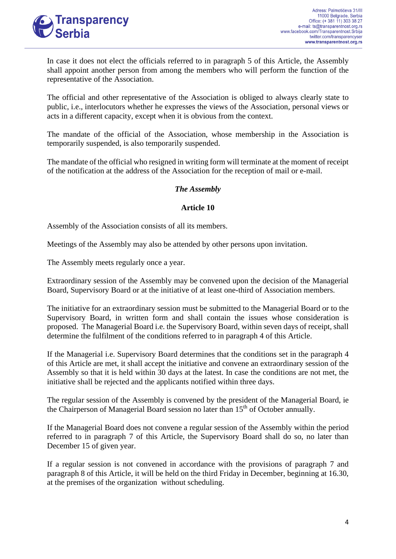

In case it does not elect the officials referred to in paragraph 5 of this Article, the Assembly shall appoint another person from among the members who will perform the function of the representative of the Association.

The official and other representative of the Association is obliged to always clearly state to public, i.e., interlocutors whether he expresses the views of the Association, personal views or acts in a different capacity, except when it is obvious from the context.

The mandate of the official of the Association, whose membership in the Association is temporarily suspended, is also temporarily suspended.

The mandate of the official who resigned in writing form will terminate at the moment of receipt of the notification at the address of the Association for the reception of mail or e-mail.

### *The Assembly*

### **Article 10**

Assembly of the Association consists of all its members.

Meetings of the Assembly may also be attended by other persons upon invitation.

The Assembly meets regularly once a year.

Extraordinary session of the Assembly may be convened upon the decision of the Managerial Board, Supervisory Board or at the initiative of at least one-third of Association members.

The initiative for an extraordinary session must be submitted to the Managerial Board or to the Supervisory Board, in written form and shall contain the issues whose consideration is proposed. The Managerial Board i.e. the Supervisory Board, within seven days of receipt, shall determine the fulfilment of the conditions referred to in paragraph 4 of this Article.

If the Managerial i.e. Supervisory Board determines that the conditions set in the paragraph 4 of this Article are met, it shall accept the initiative and convene an extraordinary session of the Assembly so that it is held within 30 days at the latest. In case the conditions are not met, the initiative shall be rejected and the applicants notified within three days.

The regular session of the Assembly is convened by the president of the Managerial Board, ie the Chairperson of Managerial Board session no later than 15<sup>th</sup> of October annually.

If the Managerial Board does not convene a regular session of the Assembly within the period referred to in paragraph 7 of this Article, the Supervisory Board shall do so, no later than December 15 of given year.

If a regular session is not convened in accordance with the provisions of paragraph 7 and paragraph 8 of this Article, it will be held on the third Friday in December, beginning at 16.30, at the premises of the organization without scheduling.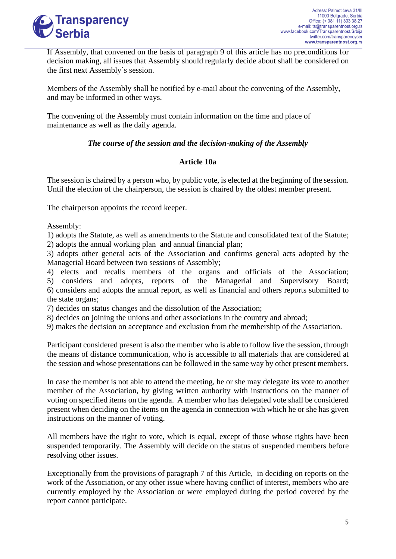

If Assembly, that convened on the basis of paragraph 9 of this article has no preconditions for decision making, all issues that Assembly should regularly decide about shall be considered on the first next Assembly's session.

Members of the Assembly shall be notified by e-mail about the convening of the Assembly, and may be informed in other ways.

The convening of the Assembly must contain information on the time and place of maintenance as well as the daily agenda.

# *The course of the session and the decision-making of the Assembly*

# **Article 10a**

The session is chaired by a person who, by public vote, is elected at the beginning of the session. Until the election of the chairperson, the session is chaired by the oldest member present.

The chairperson appoints the record keeper.

Assembly:

1) adopts the Statute, as well as amendments to the Statute and consolidated text of the Statute; 2) adopts the annual working plan and annual financial plan;

3) adopts other general acts of the Association and confirms general acts adopted by the Managerial Board between two sessions of Assembly;

4) elects and recalls members of the organs and officials of the Association; 5) considers and adopts, reports of the Managerial and Supervisory Board; 6) considers and adopts the annual report, as well as financial and others reports submitted to the state organs;

7) decides on status changes and the dissolution of the Association;

8) decides on joining the unions and other associations in the country and abroad;

9) makes the decision on acceptance and exclusion from the membership of the Association.

Participant considered present is also the member who is able to follow live the session, through the means of distance communication, who is accessible to all materials that are considered at the session and whose presentations can be followed in the same way by other present members.

In case the member is not able to attend the meeting, he or she may delegate its vote to another member of the Association, by giving written authority with instructions on the manner of voting on specified items on the agenda. A member who has delegated vote shall be considered present when deciding on the items on the agenda in connection with which he or she has given instructions on the manner of voting.

All members have the right to vote, which is equal, except of those whose rights have been suspended temporarily. The Assembly will decide on the status of suspended members before resolving other issues.

Exceptionally from the provisions of paragraph 7 of this Article, in deciding on reports on the work of the Association, or any other issue where having conflict of interest, members who are currently employed by the Association or were employed during the period covered by the report cannot participate.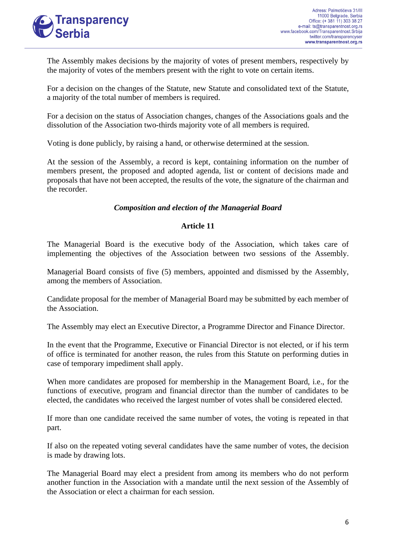

The Assembly makes decisions by the majority of votes of present members, respectively by the majority of votes of the members present with the right to vote on certain items.

For a decision on the changes of the Statute, new Statute and consolidated text of the Statute, a majority of the total number of members is required.

For a decision on the status of Association changes, changes of the Associations goals and the dissolution of the Association two-thirds majority vote of all members is required.

Voting is done publicly, by raising a hand, or otherwise determined at the session.

At the session of the Assembly, a record is kept, containing information on the number of members present, the proposed and adopted agenda, list or content of decisions made and proposals that have not been accepted, the results of the vote, the signature of the chairman and the recorder.

### *Composition and election of the Managerial Board*

### **Article 11**

The Managerial Board is the executive body of the Association, which takes care of implementing the objectives of the Association between two sessions of the Assembly.

Managerial Board consists of five (5) members, appointed and dismissed by the Assembly, among the members of Association.

Candidate proposal for the member of Managerial Board may be submitted by each member of the Association.

The Assembly may elect an Executive Director, a Programme Director and Finance Director.

In the event that the Programme, Executive or Financial Director is not elected, or if his term of office is terminated for another reason, the rules from this Statute on performing duties in case of temporary impediment shall apply.

When more candidates are proposed for membership in the Management Board, i.e., for the functions of executive, program and financial director than the number of candidates to be elected, the candidates who received the largest number of votes shall be considered elected.

If more than one candidate received the same number of votes, the voting is repeated in that part.

If also on the repeated voting several candidates have the same number of votes, the decision is made by drawing lots.

The Managerial Board may elect a president from among its members who do not perform another function in the Association with a mandate until the next session of the Assembly of the Association or elect a chairman for each session.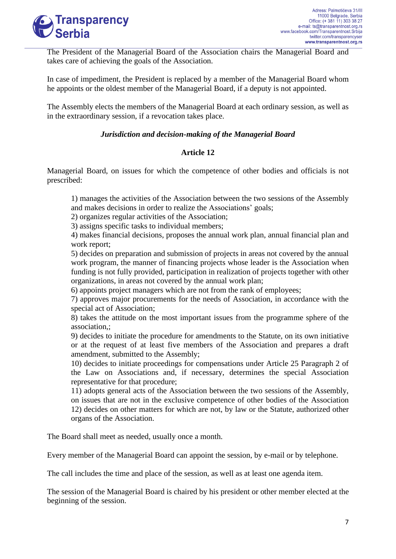

The President of the Managerial Board of the Association chairs the Managerial Board and takes care of achieving the goals of the Association.

In case of impediment, the President is replaced by a member of the Managerial Board whom he appoints or the oldest member of the Managerial Board, if a deputy is not appointed.

The Assembly elects the members of the Managerial Board at each ordinary session, as well as in the extraordinary session, if a revocation takes place.

### *Jurisdiction and decision-making of the Managerial Board*

### **Article 12**

Managerial Board, on issues for which the competence of other bodies and officials is not prescribed:

1) manages the activities of the Association between the two sessions of the Assembly and makes decisions in order to realize the Associations' goals;

2) organizes regular activities of the Association;

3) assigns specific tasks to individual members;

4) makes financial decisions, proposes the annual work plan, annual financial plan and work report;

5) decides on preparation and submission of projects in areas not covered by the annual work program, the manner of financing projects whose leader is the Association when funding is not fully provided, participation in realization of projects together with other organizations, in areas not covered by the annual work plan;

6) appoints project managers which are not from the rank of employees;

7) approves major procurements for the needs of Association, in accordance with the special act of Association;

8) takes the attitude on the most important issues from the programme sphere of the association,;

9) decides to initiate the procedure for amendments to the Statute, on its own initiative or at the request of at least five members of the Association and prepares a draft amendment, submitted to the Assembly;

10) decides to initiate proceedings for compensations under Article 25 Paragraph 2 of the Law on Associations and, if necessary, determines the special Association representative for that procedure;

11) adopts general acts of the Association between the two sessions of the Assembly, on issues that are not in the exclusive competence of other bodies of the Association 12) decides on other matters for which are not, by law or the Statute, authorized other organs of the Association.

The Board shall meet as needed, usually once a month.

Every member of the Managerial Board can appoint the session, by e-mail or by telephone.

The call includes the time and place of the session, as well as at least one agenda item.

The session of the Managerial Board is chaired by his president or other member elected at the beginning of the session.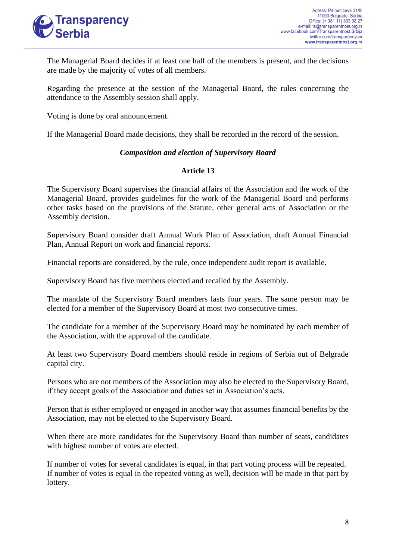

The Managerial Board decides if at least one half of the members is present, and the decisions are made by the majority of votes of all members.

Regarding the presence at the session of the Managerial Board, the rules concerning the attendance to the Assembly session shall apply.

Voting is done by oral announcement.

If the Managerial Board made decisions, they shall be recorded in the record of the session.

### *Composition and election of Supervisory Board*

# **Article 13**

The Supervisory Board supervises the financial affairs of the Association and the work of the Managerial Board, provides guidelines for the work of the Managerial Board and performs other tasks based on the provisions of the Statute, other general acts of Association or the Assembly decision.

Supervisory Board consider draft Annual Work Plan of Association, draft Annual Financial Plan, Annual Report on work and financial reports.

Financial reports are considered, by the rule, once independent audit report is available.

Supervisory Board has five members elected and recalled by the Assembly.

The mandate of the Supervisory Board members lasts four years. The same person may be elected for a member of the Supervisory Board at most two consecutive times.

The candidate for a member of the Supervisory Board may be nominated by each member of the Association, with the approval of the candidate.

At least two Supervisory Board members should reside in regions of Serbia out of Belgrade capital city.

Persons who are not members of the Association may also be elected to the Supervisory Board, if they accept goals of the Association and duties set in Association's acts.

Person that is either employed or engaged in another way that assumes financial benefits by the Association, may not be elected to the Supervisory Board.

When there are more candidates for the Supervisory Board than number of seats, candidates with highest number of votes are elected.

If number of votes for several candidates is equal, in that part voting process will be repeated. If number of votes is equal in the repeated voting as well, decision will be made in that part by lottery.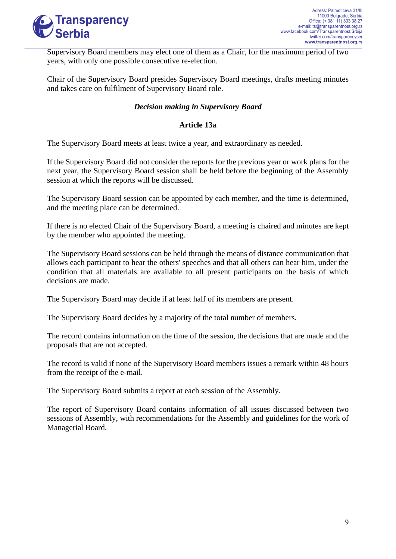

Supervisory Board members may elect one of them as a Chair, for the maximum period of two years, with only one possible consecutive re-election.

Chair of the Supervisory Board presides Supervisory Board meetings, drafts meeting minutes and takes care on fulfilment of Supervisory Board role.

# *Decision making in Supervisory Board*

### **Article 13a**

The Supervisory Board meets at least twice a year, and extraordinary as needed.

If the Supervisory Board did not consider the reports for the previous year or work plans for the next year, the Supervisory Board session shall be held before the beginning of the Assembly session at which the reports will be discussed.

The Supervisory Board session can be appointed by each member, and the time is determined, and the meeting place can be determined.

If there is no elected Chair of the Supervisory Board, a meeting is chaired and minutes are kept by the member who appointed the meeting.

The Supervisory Board sessions can be held through the means of distance communication that allows each participant to hear the others' speeches and that all others can hear him, under the condition that all materials are available to all present participants on the basis of which decisions are made.

The Supervisory Board may decide if at least half of its members are present.

The Supervisory Board decides by a majority of the total number of members.

The record contains information on the time of the session, the decisions that are made and the proposals that are not accepted.

The record is valid if none of the Supervisory Board members issues a remark within 48 hours from the receipt of the e-mail.

The Supervisory Board submits a report at each session of the Assembly.

The report of Supervisory Board contains information of all issues discussed between two sessions of Assembly, with recommendations for the Assembly and guidelines for the work of Managerial Board.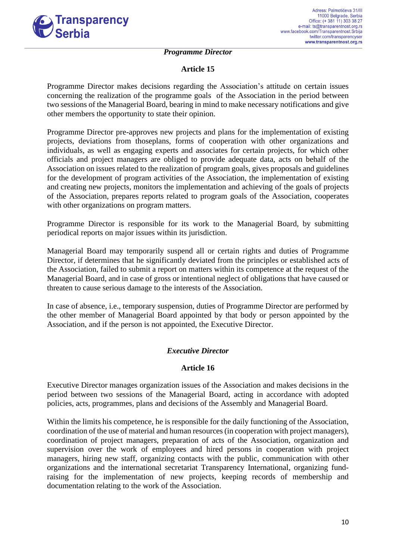

#### *Programme Director*

### **Article 15**

Programme Director makes decisions regarding the Association's attitude on certain issues concerning the realization of the programme goals of the Association in the period between two sessions of the Managerial Board, bearing in mind to make necessary notifications and give other members the opportunity to state their opinion.

Programme Director pre-approves new projects and plans for the implementation of existing projects, deviations from thoseplans, forms of cooperation with other organizations and individuals, as well as engaging experts and associates for certain projects, for which other officials and project managers are obliged to provide adequate data, acts on behalf of the Association on issues related to the realization of program goals, gives proposals and guidelines for the development of program activities of the Association, the implementation of existing and creating new projects, monitors the implementation and achieving of the goals of projects of the Association, prepares reports related to program goals of the Association, cooperates with other organizations on program matters.

Programme Director is responsible for its work to the Managerial Board, by submitting periodical reports on major issues within its jurisdiction.

Managerial Board may temporarily suspend all or certain rights and duties of Programme Director, if determines that he significantly deviated from the principles or established acts of the Association, failed to submit a report on matters within its competence at the request of the Managerial Board, and in case of gross or intentional neglect of obligations that have caused or threaten to cause serious damage to the interests of the Association.

In case of absence, i.e., temporary suspension, duties of Programme Director are performed by the other member of Managerial Board appointed by that body or person appointed by the Association, and if the person is not appointed, the Executive Director.

# *Executive Director*

### **Article 16**

Executive Director manages organization issues of the Association and makes decisions in the period between two sessions of the Managerial Board, acting in accordance with adopted policies, acts, programmes, plans and decisions of the Assembly and Managerial Board.

Within the limits his competence, he is responsible for the daily functioning of the Association, coordination of the use of material and human resources (in cooperation with project managers), coordination of project managers, preparation of acts of the Association, organization and supervision over the work of employees and hired persons in cooperation with project managers, hiring new staff, organizing contacts with the public, communication with other organizations and the international secretariat Transparency International, organizing fundraising for the implementation of new projects, keeping records of membership and documentation relating to the work of the Association.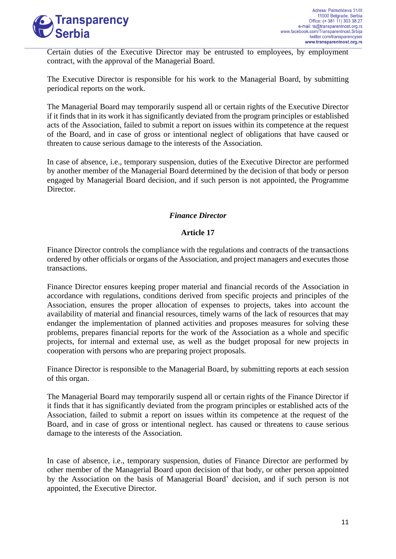

Certain duties of the Executive Director may be entrusted to employees, by employment contract, with the approval of the Managerial Board.

The Executive Director is responsible for his work to the Managerial Board, by submitting periodical reports on the work.

The Managerial Board may temporarily suspend all or certain rights of the Executive Director if it finds that in its work it has significantly deviated from the program principles or established acts of the Association, failed to submit a report on issues within its competence at the request of the Board, and in case of gross or intentional neglect of obligations that have caused or threaten to cause serious damage to the interests of the Association.

In case of absence, i.e., temporary suspension, duties of the Executive Director are performed by another member of the Managerial Board determined by the decision of that body or person engaged by Managerial Board decision, and if such person is not appointed, the Programme Director.

# *Finance Director*

### **Article 17**

Finance Director controls the compliance with the regulations and contracts of the transactions ordered by other officials or organs of the Association, and project managers and executes those transactions.

Finance Director ensures keeping proper material and financial records of the Association in accordance with regulations, conditions derived from specific projects and principles of the Association, ensures the proper allocation of expenses to projects, takes into account the availability of material and financial resources, timely warns of the lack of resources that may endanger the implementation of planned activities and proposes measures for solving these problems, prepares financial reports for the work of the Association as a whole and specific projects, for internal and external use, as well as the budget proposal for new projects in cooperation with persons who are preparing project proposals.

Finance Director is responsible to the Managerial Board, by submitting reports at each session of this organ.

The Managerial Board may temporarily suspend all or certain rights of the Finance Director if it finds that it has significantly deviated from the program principles or established acts of the Association, failed to submit a report on issues within its competence at the request of the Board, and in case of gross or intentional neglect. has caused or threatens to cause serious damage to the interests of the Association.

In case of absence, i.e., temporary suspension, duties of Finance Director are performed by other member of the Managerial Board upon decision of that body, or other person appointed by the Association on the basis of Managerial Board' decision, and if such person is not appointed, the Executive Director.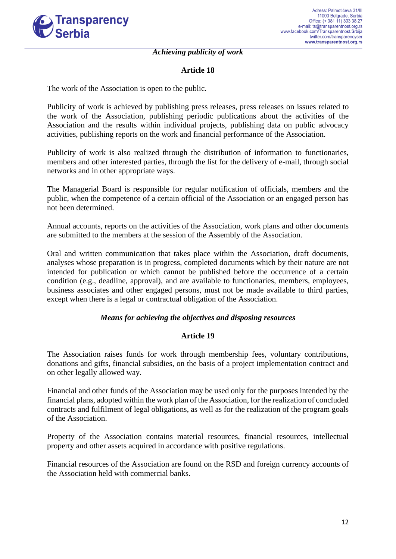

#### *Achieving publicity of work*

### **Article 18**

The work of the Association is open to the public.

Publicity of work is achieved by publishing press releases, press releases on issues related to the work of the Association, publishing periodic publications about the activities of the Association and the results within individual projects, publishing data on public advocacy activities, publishing reports on the work and financial performance of the Association.

Publicity of work is also realized through the distribution of information to functionaries, members and other interested parties, through the list for the delivery of e-mail, through social networks and in other appropriate ways.

The Managerial Board is responsible for regular notification of officials, members and the public, when the competence of a certain official of the Association or an engaged person has not been determined.

Annual accounts, reports on the activities of the Association, work plans and other documents are submitted to the members at the session of the Assembly of the Association.

Oral and written communication that takes place within the Association, draft documents, analyses whose preparation is in progress, completed documents which by their nature are not intended for publication or which cannot be published before the occurrence of a certain condition (e.g., deadline, approval), and are available to functionaries, members, employees, business associates and other engaged persons, must not be made available to third parties, except when there is a legal or contractual obligation of the Association.

### *Means for achieving the objectives and disposing resources*

### **Article 19**

The Association raises funds for work through membership fees, voluntary contributions, donations and gifts, financial subsidies, on the basis of a project implementation contract and on other legally allowed way.

Financial and other funds of the Association may be used only for the purposes intended by the financial plans, adopted within the work plan of the Association, for the realization of concluded contracts and fulfilment of legal obligations, as well as for the realization of the program goals of the Association.

Property of the Association contains material resources, financial resources, intellectual property and other assets acquired in accordance with positive regulations.

Financial resources of the Association are found on the RSD and foreign currency accounts of the Association held with commercial banks.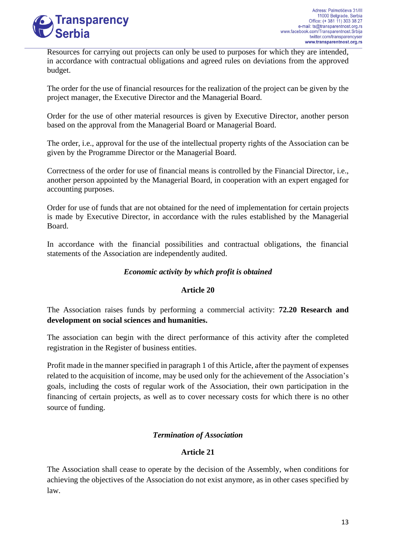

Resources for carrying out projects can only be used to purposes for which they are intended, in accordance with contractual obligations and agreed rules on deviations from the approved budget.

The order for the use of financial resources for the realization of the project can be given by the project manager, the Executive Director and the Managerial Board.

Order for the use of other material resources is given by Executive Director, another person based on the approval from the Managerial Board or Managerial Board.

The order, i.e., approval for the use of the intellectual property rights of the Association can be given by the Programme Director or the Managerial Board.

Correctness of the order for use of financial means is controlled by the Financial Director, i.e., another person appointed by the Managerial Board, in cooperation with an expert engaged for accounting purposes.

Order for use of funds that are not obtained for the need of implementation for certain projects is made by Executive Director, in accordance with the rules established by the Managerial Board.

In accordance with the financial possibilities and contractual obligations, the financial statements of the Association are independently audited.

# *Economic activity by which profit is obtained*

# **Article 20**

The Association raises funds by performing a commercial activity: **72.20 Research and development on social sciences and humanities.**

The association can begin with the direct performance of this activity after the completed registration in the Register of business entities.

Profit made in the manner specified in paragraph 1 of this Article, after the payment of expenses related to the acquisition of income, may be used only for the achievement of the Association's goals, including the costs of regular work of the Association, their own participation in the financing of certain projects, as well as to cover necessary costs for which there is no other source of funding.

# *Termination of Association*

# **Article 21**

The Association shall cease to operate by the decision of the Assembly, when conditions for achieving the objectives of the Association do not exist anymore, as in other cases specified by law.